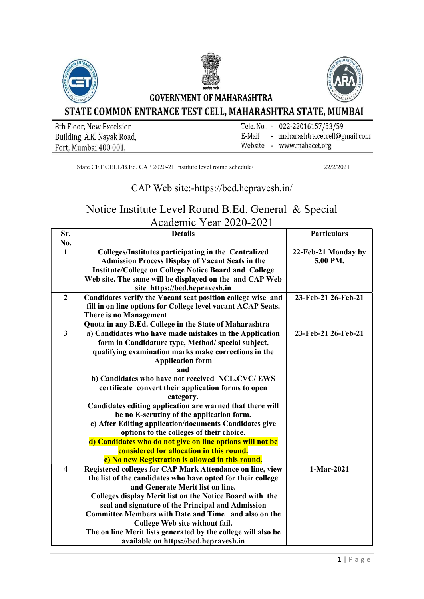

| 8th Floor, New Excelsior   |        | Tele. No. - 022-22016157/53/59  |
|----------------------------|--------|---------------------------------|
| Building, A.K. Nayak Road, | E-Mail | - maharashtra.cetcell@gmail.com |
| Fort, Mumbai 400 001.      |        | Website - www.mahacet.org       |

State CET CELL/B.Ed. CAP 2020-21 Institute level round schedule/ 22/2/2021

## CAP Web site:-https://bed.hepravesh.in/

## Notice Institute Level Round B.Ed. General & Special Academic Year 2020-2021

| Sr.                     | <b>Details</b>                                                | <b>Particulars</b>  |
|-------------------------|---------------------------------------------------------------|---------------------|
| No.                     |                                                               |                     |
| $\mathbf{1}$            | Colleges/Institutes participating in the Centralized          | 22-Feb-21 Monday by |
|                         | <b>Admission Process Display of Vacant Seats in the</b>       | 5.00 PM.            |
|                         | <b>Institute/College on College Notice Board and College</b>  |                     |
|                         | Web site. The same will be displayed on the and CAP Web       |                     |
|                         | site https://bed.hepravesh.in                                 |                     |
| $\boldsymbol{2}$        | Candidates verify the Vacant seat position college wise and   | 23-Feb-21 26-Feb-21 |
|                         | fill in on line options for College level vacant ACAP Seats.  |                     |
|                         | <b>There is no Management</b>                                 |                     |
|                         | Quota in any B.Ed. College in the State of Maharashtra        |                     |
| $\overline{\mathbf{3}}$ | a) Candidates who have made mistakes in the Application       | 23-Feb-21 26-Feb-21 |
|                         | form in Candidature type, Method/ special subject,            |                     |
|                         | qualifying examination marks make corrections in the          |                     |
|                         | <b>Application form</b>                                       |                     |
|                         | and                                                           |                     |
|                         | b) Candidates who have not received NCL.CVC/EWS               |                     |
|                         | certificate convert their application forms to open           |                     |
|                         | category.                                                     |                     |
|                         | Candidates editing application are warned that there will     |                     |
|                         | be no E-scrutiny of the application form.                     |                     |
|                         | c) After Editing application/documents Candidates give        |                     |
|                         | options to the colleges of their choice.                      |                     |
|                         | d) Candidates who do not give on line options will not be     |                     |
|                         | considered for allocation in this round.                      |                     |
|                         | e) No new Registration is allowed in this round.              |                     |
| $\overline{\mathbf{4}}$ | Registered colleges for CAP Mark Attendance on line, view     | 1-Mar-2021          |
|                         | the list of the candidates who have opted for their college   |                     |
|                         | and Generate Merit list on line.                              |                     |
|                         | Colleges display Merit list on the Notice Board with the      |                     |
|                         | seal and signature of the Principal and Admission             |                     |
|                         | Committee Members with Date and Time and also on the          |                     |
|                         | College Web site without fail.                                |                     |
|                         | The on line Merit lists generated by the college will also be |                     |
|                         | available on https://bed.hepravesh.in                         |                     |